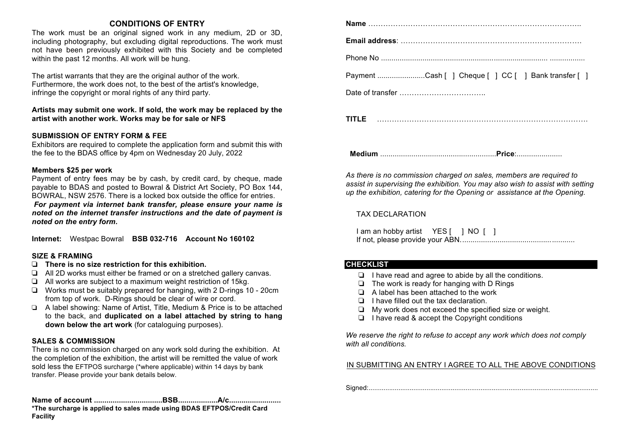#### **CONDITIONS OF ENTRY**

The work must be an original signed work in any medium, 2D or 3D, including photography, but excluding digital reproductions. The work must not have been previously exhibited with this Society and be completed within the past 12 months. All work will be hung.

The artist warrants that they are the original author of the work. Furthermore, the work does not, to the best of the artist's knowledge, infringe the copyright or moral rights of any third party.

#### **Artists may submit one work. If sold, the work may be replaced by the artist with another work. Works may be for sale or NFS**

#### **SUBMISSION OF ENTRY FORM & FEE**

Exhibitors are required to complete the application form and submit this with the fee to the BDAS office by 4pm on Wednesday 20 July, 2022

#### **Members \$25 per work**

Payment of entry fees may be by cash, by credit card, by cheque, made payable to BDAS and posted to Bowral & District Art Society, PO Box 144, BOWRAL, NSW 2576. There is a locked box outside the office for entries. *For payment via internet bank transfer, please ensure your name is noted on the internet transfer instructions and the date of payment is noted on the entry form.* 

**Internet:** Westpac Bowral **BSB 032-716 Account No 160102** 

#### **SIZE & FRAMING**

- ❏ **There is no size restriction for this exhibition.**
- ❏ All 2D works must either be framed or on a stretched gallery canvas.
- ❏ All works are subject to a maximum weight restriction of 15kg.
- ❏ Works must be suitably prepared for hanging, with 2 D-rings 10 20cm from top of work. D-Rings should be clear of wire or cord.
- ❏ A label showing: Name of Artist, Title, Medium & Price is to be attached to the back, and **duplicated on a label attached by string to hang down below the art work** (for cataloguing purposes).

#### **SALES & COMMISSION**

There is no commission charged on any work sold during the exhibition. At the completion of the exhibition, the artist will be remitted the value of work sold less the EFTPOS surcharge (\*where applicable) within 14 days by bank transfer. Please provide your bank details below.

**Name of account .................................BSB...................A/c......................... \*The surcharge is applied to sales made using BDAS EFTPOS/Credit Card Facility**

| Payment Cash [ ] Cheque [ ] CC [ ] Bank transfer [ ] |
|------------------------------------------------------|
|                                                      |
|                                                      |

 **Medium** ........................................................**Price**:......................

*As there is no commission charged on sales, members are required to assist in supervising the exhibition. You may also wish to assist with setting up the exhibition, catering for the Opening or assistance at the Opening.*

#### TAX DECLARATION

I am an hobby artist YES [ ] NO [ ] If not, please provide your ABN.......................................................

#### **CHECKLIST**

- ❏ I have read and agree to abide by all the conditions.
- ❏ The work is ready for hanging with D Rings
- ❏ A label has been attached to the work
- ❏ I have filled out the tax declaration.
- ❏ My work does not exceed the specified size or weight.
- ❏ I have read & accept the Copyright conditions

*We reserve the right to refuse to accept any work which does not comply with all conditions.*

#### IN SUBMITTING AN ENTRY I AGREE TO ALL THE ABOVE CONDITIONS

Signed:...........................................................................................................................